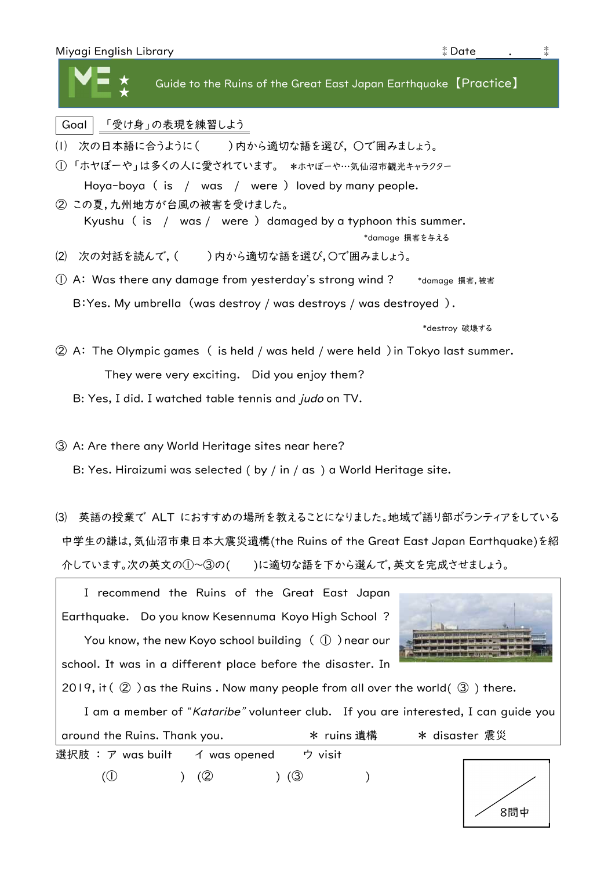| Miyagi English Library | Date |  |  |
|------------------------|------|--|--|
|------------------------|------|--|--|

★ ★ 【 Guide to the Ruins of the Great East Japan Earthquake 【Practice】

## Goal 「受け身」の表現を練習しよう

- (1) 次の日本語に合うように() )内から適切な語を選び, ○で囲みましょう。
- ① 「ホヤぼーや」は多くの人に愛されています。 \*ホヤぼーや…気仙沼市観光キャラクター Hoya-boya ( is / was / were ) loved by many people.
- ② この夏,九州地方が台風の被害を受けました。 Kyushu ( is / was / were ) damaged by a typhoon this summer. \*damage 損害を与える
- ⑵ 次の対話を読んで,( )内から適切な語を選び,〇で囲みましょう。
- ① A: Was there any damage from yesterday's strong wind ? \*damage 損害,被害 B:Yes. My umbrella (was destroy / was destroys / was destroyed ).

\*destroy 破壊する

- ② A: The Olympic games ( is held / was held / were held )in Tokyo last summer. They were very exciting. Did you enjoy them?
	- B: Yes, I did. I watched table tennis and *judo* on TV.

③ A: Are there any World Heritage sites near here?

B: Yes. Hiraizumi was selected ( by / in / as ) a World Heritage site.

⑶ 英語の授業で ALT におすすめの場所を教えることになりました。地域で語り部ボランティアをしている 中学生の謙は,気仙沼市東日本大震災遺構(the Ruins of the Great East Japan Earthquake)を紹 介しています。次の英文の①~③の( )に適切な語を下から選んで,英文を完成させましょう。

I recommend the Ruins of the Great East Japan Earthquake. Do you know Kesennuma Koyo High School ?

You know, the new Koyo school building  $( \n\mathbb{D} )$  near our school. It was in a different place before the disaster. In



2019, it  $(2)$  as the Ruins. Now many people from all over the world $(3)$  there.

選択肢 : ア was built イ was opened ウ visit  $(①$  )  $(②$  )  $(③$  ) I am a member of "Kataribe" volunteer club. If you are interested, I can guide you around the Ruins. Thank you.  $\longrightarrow$  \* ruins 遺構 \* disaster 震災